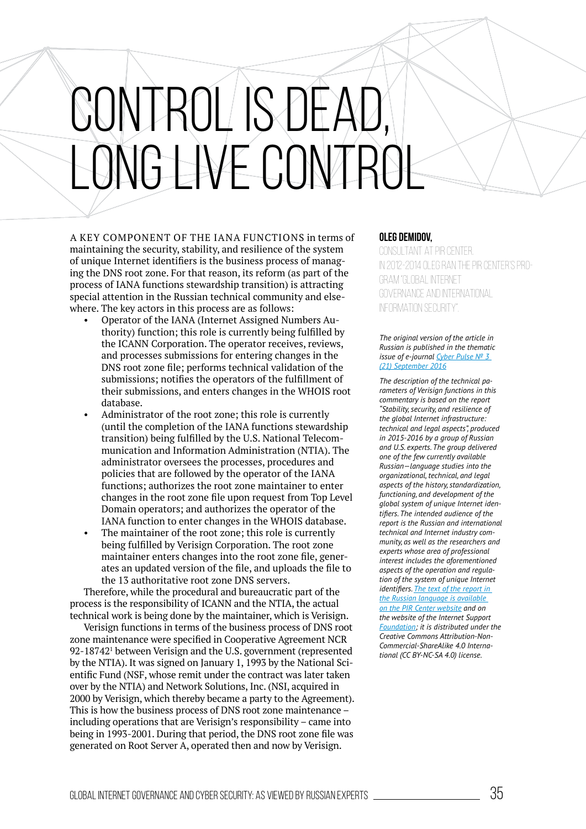## SONTROL IS DEA ONGLIVE CONT

A KEY COMPONENT OF ThE IANA FUNCTIONS in terms of maintaining the security, stability, and resilience of the system of unique Internet identifiers is the business process of managing the DNS root zone. For that reason, its reform (as part of the process of IANA functions stewardship transition) is attracting special attention in the Russian technical community and elsewhere. The key actors in this process are as follows:

- Operator of the IANA (Internet Assigned Numbers Authority) function; this role is currently being fulfilled by the ICANN Corporation. The operator receives, reviews, and processes submissions for entering changes in the DNS root zone file; performs technical validation of the submissions; notifies the operators of the fulfillment of their submissions, and enters changes in the whOIS root database.
- Administrator of the root zone; this role is currently (until the completion of the IANA functions stewardship transition) being fulilled by the U.S. National Telecommunication and Information Administration (NTIA). The administrator oversees the processes, procedures and policies that are followed by the operator of the IANA functions; authorizes the root zone maintainer to enter changes in the root zone file upon request from Top Level Domain operators; and authorizes the operator of the IANA function to enter changes in the whOIS database.
- The maintainer of the root zone; this role is currently being fulfilled by Verisign Corporation. The root zone maintainer enters changes into the root zone file, generates an updated version of the file, and uploads the file to the 13 authoritative root zone DNS servers.

Therefore, while the procedural and bureaucratic part of the process is the responsibility of ICANN and the NTIA, the actual technical work is being done by the maintainer, which is verisign.

verisign functions in terms of the business process of DNS root zone maintenance were specified in Cooperative Agreement NCR 92-18742<sup>1</sup> between Verisign and the U.S. government (represented by the NTIA). It was signed on January 1, 1993 by the National Scientific Fund (NSF, whose remit under the contract was later taken over by the NTIA) and Network Solutions, Inc. (NSI, acquired in 2000 by verisign, which thereby became a party to the Agreement). This is how the business process of DNS root zone maintenance – including operations that are verisign's responsibility – came into being in 1993-2001. During that period, the DNS root zone file was generated on Root Server A, operated then and now by verisign.

## **Oleg Demidov,**

Consultant at PIR Center. IN 2012-2014 OLEG RAN THE PIR CENTER'S PROgram "Global Internet Governance and International Information Security".

## *The original version of the article in Russian is published in the thematic issue of e-journal [Cyber Pulse № 3](http://pircenter.org/media/content/files/13/14737442962.pdf)  [\(21\) September 2016](http://pircenter.org/media/content/files/13/14737442962.pdf)*

*The description of the technical parameters of Verisign functions in this commentary is based on the report ȤStability, security, and resilience of the global Internet infrastructure: technical and legal aspectsȥ, produced in 2015-2016 by a group of Russian and U.S. experts. The group delivered one of the few currently available Russian—language studies into the organizational, technical, and legal aspects of the history, standardization, functioning, and development of the global system of unique Internet identiiers. The intended audience of the report is the Russian and international technical and Internet industry community, as well as the researchers and experts whose area of professional interest includes the aforementioned aspects of the operation and regulation of the system of unique Internet identiiers. [The text of the report in](http://pircenter.org/media/content/files/13/14738621850.pdf)  [the Russian language is available](http://pircenter.org/media/content/files/13/14738621850.pdf)  [on the PIR Center website](http://pircenter.org/media/content/files/13/14738621850.pdf) and on the website of the Internet Support [Foundation](http://fondpi.ru/documents); it is distributed under the Creative Commons Attribution-Non-*Commercial-ShareAlike 4.0 International (CC BY-NC-SA 4.0) license.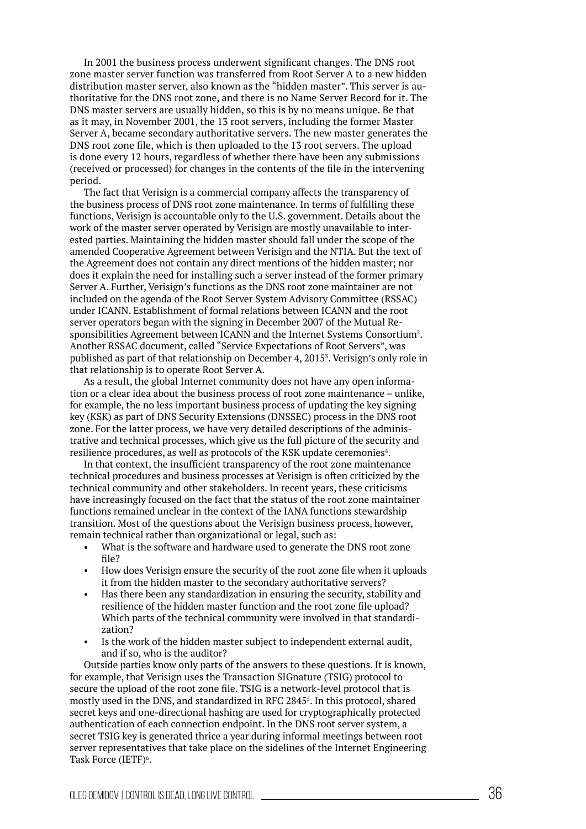In 2001 the business process underwent significant changes. The DNS root zone master server function was transferred from Root Server A to a new hidden distribution master server, also known as the "hidden master". This server is authoritative for the DNS root zone, and there is no Name Server Record for it. The DNS master servers are usually hidden, so this is by no means unique. be that as it may, in November 2001, the 13 root servers, including the former Master Server A, became secondary authoritative servers. The new master generates the DNS root zone file, which is then uploaded to the 13 root servers. The upload is done every 12 hours, regardless of whether there have been any submissions (received or processed) for changes in the contents of the ile in the intervening period.

The fact that verisign is a commercial company affects the transparency of the business process of DNS root zone maintenance. In terms of fulilling these functions, verisign is accountable only to the U.S. government. Details about the work of the master server operated by verisign are mostly unavailable to interested parties. Maintaining the hidden master should fall under the scope of the amended Cooperative Agreement between verisign and the NTIA. but the text of the Agreement does not contain any direct mentions of the hidden master; nor does it explain the need for installing such a server instead of the former primary Server A. Further, verisign's functions as the DNS root zone maintainer are not included on the agenda of the Root Server System Advisory Committee (RSSAC) under ICANN. Establishment of formal relations between ICANN and the root server operators began with the signing in December 2007 of the Mutual Responsibilities Agreement between ICANN and the Internet Systems Consortium<sup>2</sup>. Another RSSAC document, called "Service Expectations of Root Servers", was published as part of that relationship on December 4, 2015<sup>3</sup>. Verisign's only role in that relationship is to operate Root Server A.

As a result, the global Internet community does not have any open information or a clear idea about the business process of root zone maintenance – unlike, for example, the no less important business process of updating the key signing key (KSK) as part of DNS Security Extensions (DNSSEC) process in the DNS root zone. For the latter process, we have very detailed descriptions of the administrative and technical processes, which give us the full picture of the security and resilience procedures, as well as protocols of the KSK update ceremonies<sup>4</sup>.

In that context, the insuficient transparency of the root zone maintenance technical procedures and business processes at verisign is often criticized by the technical community and other stakeholders. In recent years, these criticisms have increasingly focused on the fact that the status of the root zone maintainer functions remained unclear in the context of the IANA functions stewardship transition. Most of the questions about the verisign business process, however, remain technical rather than organizational or legal, such as:

- What is the software and hardware used to generate the DNS root zone file?
- How does Verisign ensure the security of the root zone file when it uploads it from the hidden master to the secondary authoritative servers?
- has there been any standardization in ensuring the security, stability and resilience of the hidden master function and the root zone file upload? which parts of the technical community were involved in that standardization?
- Is the work of the hidden master subject to independent external audit, and if so, who is the auditor?

Outside parties know only parts of the answers to these questions. It is known, for example, that verisign uses the Transaction SIGnature (TSIG) protocol to secure the upload of the root zone file. TSIG is a network-level protocol that is mostly used in the DNS, and standardized in RFC 2845<sup>5</sup> . In this protocol, shared secret keys and one-directional hashing are used for cryptographically protected authentication of each connection endpoint. In the DNS root server system, a secret TSIG key is generated thrice a year during informal meetings between root server representatives that take place on the sidelines of the Internet Engineering Task Force (IETF)<sup>6</sup>.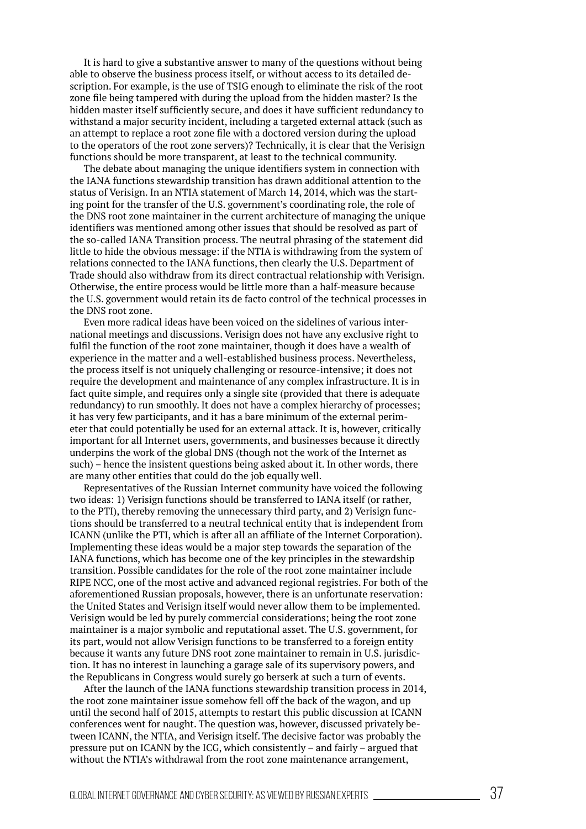It is hard to give a substantive answer to many of the questions without being able to observe the business process itself, or without access to its detailed description. For example, is the use of TSIG enough to eliminate the risk of the root zone file being tampered with during the upload from the hidden master? Is the hidden master itself suficiently secure, and does it have suficient redundancy to withstand a major security incident, including a targeted external attack (such as an attempt to replace a root zone file with a doctored version during the upload to the operators of the root zone servers)? Technically, it is clear that the verisign functions should be more transparent, at least to the technical community.

The debate about managing the unique identifiers system in connection with the IANA functions stewardship transition has drawn additional attention to the status of verisign. In an NTIA statement of March 14, 2014, which was the starting point for the transfer of the U.S. government's coordinating role, the role of the DNS root zone maintainer in the current architecture of managing the unique identifiers was mentioned among other issues that should be resolved as part of the so-called IANA Transition process. The neutral phrasing of the statement did little to hide the obvious message: if the NTIA is withdrawing from the system of relations connected to the IANA functions, then clearly the U.S. Department of Trade should also withdraw from its direct contractual relationship with verisign. Otherwise, the entire process would be little more than a half-measure because the U.S. government would retain its de facto control of the technical processes in the DNS root zone.

Even more radical ideas have been voiced on the sidelines of various international meetings and discussions. verisign does not have any exclusive right to fulfil the function of the root zone maintainer, though it does have a wealth of experience in the matter and a well-established business process. Nevertheless, the process itself is not uniquely challenging or resource-intensive; it does not require the development and maintenance of any complex infrastructure. It is in fact quite simple, and requires only a single site (provided that there is adequate redundancy) to run smoothly. It does not have a complex hierarchy of processes; it has very few participants, and it has a bare minimum of the external perimeter that could potentially be used for an external attack. It is, however, critically important for all Internet users, governments, and businesses because it directly underpins the work of the global DNS (though not the work of the Internet as such) – hence the insistent questions being asked about it. In other words, there are many other entities that could do the job equally well.

Representatives of the Russian Internet community have voiced the following two ideas: 1) verisign functions should be transferred to IANA itself (or rather, to the PTI), thereby removing the unnecessary third party, and 2) Verisign functions should be transferred to a neutral technical entity that is independent from ICANN (unlike the PTI, which is after all an affiliate of the Internet Corporation). Implementing these ideas would be a major step towards the separation of the IANA functions, which has become one of the key principles in the stewardship transition. Possible candidates for the role of the root zone maintainer include RIPE NCC, one of the most active and advanced regional registries. For both of the aforementioned Russian proposals, however, there is an unfortunate reservation: the United States and verisign itself would never allow them to be implemented. verisign would be led by purely commercial considerations; being the root zone maintainer is a major symbolic and reputational asset. The U.S. government, for its part, would not allow verisign functions to be transferred to a foreign entity because it wants any future DNS root zone maintainer to remain in U.S. jurisdiction. It has no interest in launching a garage sale of its supervisory powers, and the Republicans in Congress would surely go berserk at such a turn of events.

After the launch of the IANA functions stewardship transition process in 2014, the root zone maintainer issue somehow fell off the back of the wagon, and up until the second half of 2015, attempts to restart this public discussion at ICANN conferences went for naught. The question was, however, discussed privately between ICANN, the NTIA, and verisign itself. The decisive factor was probably the pressure put on ICANN by the ICG, which consistently – and fairly – argued that without the NTIA's withdrawal from the root zone maintenance arrangement,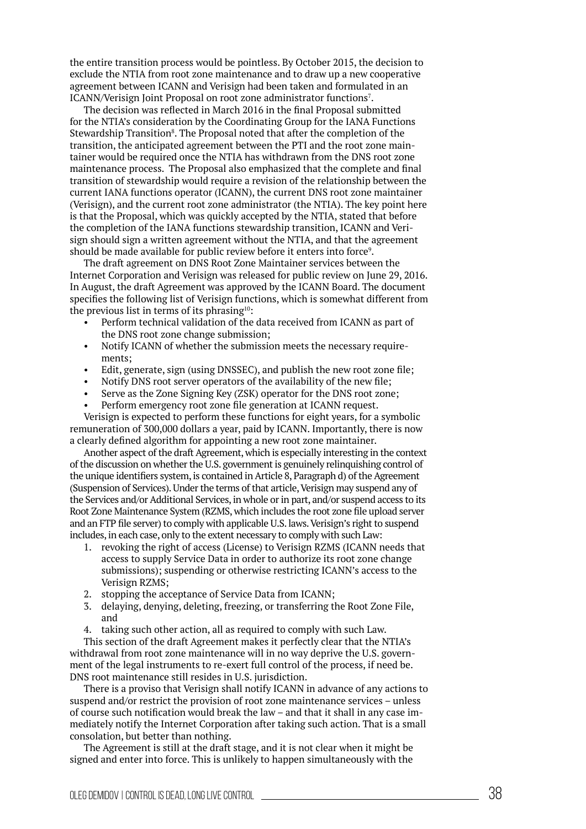the entire transition process would be pointless. by October 2015, the decision to exclude the NTIA from root zone maintenance and to draw up a new cooperative agreement between ICANN and verisign had been taken and formulated in an ICANN/Verisign Joint Proposal on root zone administrator functions<sup>7</sup>.

The decision was reflected in March 2016 in the final Proposal submitted for the NTIA's consideration by the Coordinating Group for the IANA Functions Stewardship Transition<sup>8</sup>. The Proposal noted that after the completion of the transition, the anticipated agreement between the PTI and the root zone maintainer would be required once the NTIA has withdrawn from the DNS root zone maintenance process. The Proposal also emphasized that the complete and inal transition of stewardship would require a revision of the relationship between the current IANA functions operator (ICANN), the current DNS root zone maintainer (verisign), and the current root zone administrator (the NTIA). The key point here is that the Proposal, which was quickly accepted by the NTIA, stated that before the completion of the IANA functions stewardship transition, ICANN and verisign should sign a written agreement without the NTIA, and that the agreement should be made available for public review before it enters into force<sup>9</sup>.

The draft agreement on DNS Root Zone Maintainer services between the Internet Corporation and verisign was released for public review on June 29, 2016. In August, the draft Agreement was approved by the ICANN board. The document specifies the following list of Verisign functions, which is somewhat different from the previous list in terms of its phrasing $10$ :

- Perform technical validation of the data received from ICANN as part of the DNS root zone change submission;
- Notify ICANN of whether the submission meets the necessary requirements;
- Edit, generate, sign (using DNSSEC), and publish the new root zone file;
- Notify DNS root server operators of the availability of the new file;
- Serve as the Zone Signing Key (ZSK) operator for the DNS root zone;
- Perform emergency root zone file generation at ICANN request.

verisign is expected to perform these functions for eight years, for a symbolic remuneration of 300,000 dollars a year, paid by ICANN. Importantly, there is now a clearly defined algorithm for appointing a new root zone maintainer.

Another aspect of the draft Agreement, which is especially interesting in the context of the discussion on whether the U.S. government is genuinely relinquishing control of the unique identifiers system, is contained in Article 8, Paragraph d) of the Agreement (Suspension of Services). Under the terms of that article, verisign may suspend any of the Services and/or Additional Services, in whole or in part, and/or suspend access to its Root Zone Maintenance System (RZMS, which includes the root zone file upload server and an FTP file server) to comply with applicable U.S. laws. Verisign's right to suspend includes, in each case, only to the extent necessary to comply with such Law:

- 1. revoking the right of access (License) to verisign RZMS (ICANN needs that access to supply Service Data in order to authorize its root zone change submissions); suspending or otherwise restricting ICANN's access to the verisign RZMS;
- 2. stopping the acceptance of Service Data from ICANN;
- 3. delaying, denying, deleting, freezing, or transferring the Root Zone File, and
- 4. taking such other action, all as required to comply with such Law.

This section of the draft Agreement makes it perfectly clear that the NTIA's withdrawal from root zone maintenance will in no way deprive the U.S. government of the legal instruments to re-exert full control of the process, if need be. DNS root maintenance still resides in U.S. jurisdiction.

There is a proviso that Verisign shall notify ICANN in advance of any actions to suspend and/or restrict the provision of root zone maintenance services – unless of course such notification would break the law – and that it shall in any case immediately notify the Internet Corporation after taking such action. That is a small consolation, but better than nothing.

The Agreement is still at the draft stage, and it is not clear when it might be signed and enter into force. This is unlikely to happen simultaneously with the